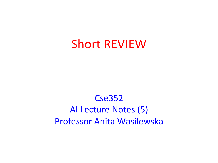## **Short REVIEW**

### Cse352 AI Lecture Notes (5) **Professor Anita Wasilewska**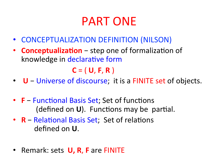## PART ONE

- CONCEPTUALIZATION DEFINITION (NILSON)
- **Conceptualization** step one of formalization of knowledge in declarative form

 $C = (U, F, R)$ 

- **U** − Universe of discourse; it is a FINITE set of objects.
- **F** − Functional Basis Set; Set of functions (defined on **U**). Functions may be partial.
- **R** − Relational Basis Set; Set of relations defined on **U**.
- Remark: sets **U, R, F** are FINITE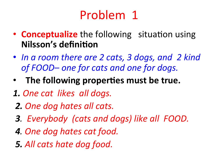# Problem 1

- **Conceptualize** the following situation using **Nilsson's definition**
- In a room there are 2 cats, 3 dogs, and 2 kind of FOOD– one for cats and one for dogs.
- The following properties must be true.
- *1. One cat likes all dogs.*
- *2. One dog hates all cats.*
- *3. Everybody (cats and dogs) like all FOOD.*
- *4. One dog hates cat food.*
- *5. All cats hate dog food.*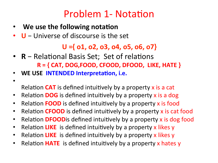### Problem 1- Notation

- **We use the following notation**
- U − Universe of discourse is the set

#### $U = \{ 01, 02, 03, 04, 05, 06, 07 \}$

- **R** − Relational Basis Set; Set of relations **R** = { CAT, DOG,FOOD, CFOOD, DFOOD, LIKE, HATE }
- WE USE **INTENDED** Interpretation, i.e.
- •

Relation **CAT** is defined intuitively by a property x is a cat

- Relation **DOG** is defined intuitively by a property x is a dog
- Relation **FOOD** is defined intuitively by a property x is food
- Relation **CFOOD** is defined intuitively by a property x is cat food
- Relation **DFOOD** is defined intuitively by a property x is dog food
- Relation LIKE is defined intuitively by a property x likes y
- Relation LIKE is defined intuitively by a property x likes y
- Relation **HATE** is defined intuitively by a property x hates y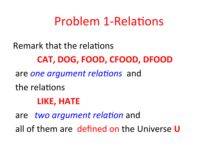## Problem 1-Relations

Remark that the relations

### **CAT, DOG, FOOD, CFOOD, DFOOD**

are *one argument relations* and

the relations

#### **LIKE, HATE**

are *two argument relation* and all of them are defined on the Universe U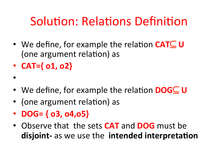# Solution: Relations Definition

- We define, for example the relation **CAT⊆ U** (one argument relation) as
- $\cdot$  **CAT={** o1, o2}
- 
- We define, for example the relation **DOG⊆ U**
- (one argument relation) as
- **DOG=**  $\{$  03, 04, 05 $\}$
- Observe that the sets **CAT** and **DOG** must be **disjoint-** as we use the **intended interpretation**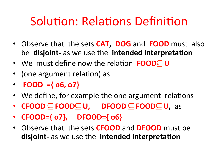## Solution: Relations Definition

- Observe that the sets **CAT, DOG** and **FOOD** must also be disjoint- as we use the intended interpretation
- We must define now the relation **FOOD⊂ U**
- (one argument relation) as
- **FOOD** ={ $o6, o7$ }
- We define, for example the one argument relations
- **CFOOD** ⊆ **FOOD**⊆ **U, DFOOD** ⊆ **FOOD**⊆ **U,** as
- **CFOOD={** o7}, DFOOD={ o6}
- Observe that the sets **CFOOD** and **DFOOD** must be **disjoint-** as we use the **intended** interpretation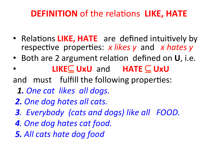### **DEFINITION** of the relations LIKE, HATE

- Relations LIKE, HATE are defined intuitively by respective properties: *x* likes y and *x* hates y
- Both are 2 argument relation defined on U, i.e.
- **LIKE⊆ UxU** and **HATE** ⊆ UxU
- and must fulfill the following properties:
	- **1.** One cat likes all dogs.
- *2. One dog hates all cats.*
- *3. Everybody (cats and dogs) like all FOOD.*
- *4. One dog hates cat food.*
- *5. All cats hate dog food*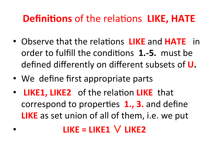### **Definitions** of the relations LIKE, HATE

- Observe that the relations LIKE and **HATE** in order to fulfill the conditions **1.-5.** must be defined differently on different subsets of **U**.
- We define first appropriate parts
- LIKE1, LIKE2 of the relation LIKE that correspond to properties **1., 3.** and define **LIKE** as set union of all of them, i.e. we put

### $LIKE = LIKE1$   $V LIKE2$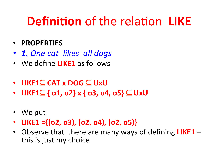#### • **PROPERTIES**

- *1. One cat likes all dogs*
- We define **LIKE1** as follows
- **LIKE1**⊆ **CAT x DOG** ⊆ **UxU**
- **LIKE1**⊆ **{ o1, o2} x { o3, o4, o5}** ⊆ **UxU**
- We put
- LIKE1 ={(o2, o3), (o2, o4), (o2, o5)}
- Observe that there are many ways of defining LIKE1 this is just my choice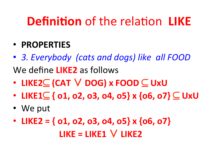- **PROPERTIES**
- 3. Everybody (cats and dogs) like all FOOD We define **LIKE2** as follows
- **LIKE2**⊆ **(CAT** ∨ **DOG) x FOOD** ⊆ **UxU**
- **LIKE1**⊆ **{ o1, o2, o3, o4, o5} x {o6, o7}** ⊆ **UxU**
- We put
- LIKE2 =  $\{$  o1, o2, o3, o4, o5 $\}$  x  $\{$  o6, o7 $\}$ **LIKE = LIKE1 ∨ LIKE2**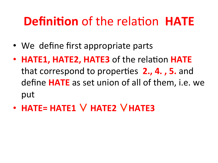- We define first appropriate parts
- **HATE1, HATE2, HATE3** of the relation **HATE** that correspond to properties **2., 4., 5.** and define **HATE** as set union of all of them, i.e. we put
- **HATE= HATE1** ∨ **HATE2** ∨**HATE3**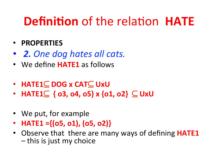#### • **PROPERTIES**

- **2.** One dog hates all cats.
- We define **HATE1** as follows
- **HATE1**⊆ **DOG x CAT**⊆ **UxU**
- **HATE1⊆** {  $\circ$ 3,  $\circ$ 4,  $\circ$ 5} x { $\circ$ 1,  $\circ$ 2} ⊆ UxU
- We put, for example
- **HATE1** ={( $05, 01$ ), ( $05, 02$ )}
- Observe that there are many ways of defining **HATE1**  $-$  this is just my choice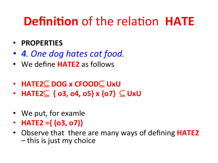#### • **PROPERTIES**

- *4. One dog hates cat food.*
- We define **HATE2** as follows
- **HATE2**⊆ **DOG x CFOOD**⊆ **UxU**
- **HATE2**⊆ **{ o3, o4, o5} x {o7}** ⊆ **UxU**
- We put, for examle
- **HATE2** ={ $(03, 07)$ }
- Observe that there are many ways of defining **HATE2**  $-$  this is just my choice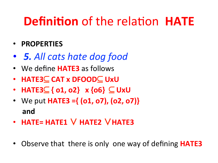- **PROPERTIES**
- *5. All cats hate dog food*
- We define **HATE3** as follows
- **HATE3**⊆ **CAT x DFOOD**⊆ **UxU**
- **HATE3**⊆ **{ o1, o2} x {o6}** ⊆ **UxU**
- We put **HATE3** =  $\{ (o1, o7), (o2, o7) \}$  **and**
- **HATE= HATE1** ∨ **HATE2** ∨**HATE3**
- Observe that there is only one way of defining **HATE3**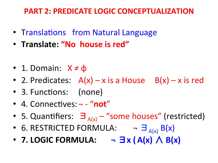#### **PART 2: PREDICATE LOGIC CONCEPTUALIZATION**

- Translations from Natural Language
- **Translate: "No house is red"**
- 1. Domain:  $X \neq \phi$
- 2. Predicates:  $A(x) x$  is a House  $B(x) x$  is red
- 3. Functions: (none)
- 4. Connectives: - "not"
- 5. Quantifiers:  $\exists_{A(x)}$  "some houses" (restricted)
- 6. RESTRICTED FORMULA:  $\exists_{A(x)} B(x)$
- **7. LOGIC FORMULA: ¬** ∃**x (A(x)** ∧ **B(x)**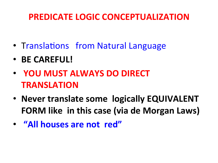### **PREDICATE LOGIC CONCEPTUALIZATION**

- Translations from Natural Language
- **BE CAREFUL!**
- **YOU MUST ALWAYS DO DIRECT TRANSLATION**
- **Never translate some logically EQUIVALENT FORM** like in this case (via de Morgan Laws)
- "All houses are not red"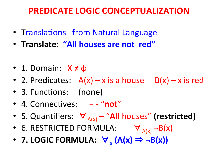#### **PREDICATE LOGIC CONCEPTUALIZATION**

- Translations from Natural Language
- Translate: "All houses are not red"
- 1. Domain:  $X \neq \phi$
- 2. Predicates:  $A(x) x$  is a house  $B(x) x$  is red
- 3. Functions: (none)
- 4. Connectives:  $-$  "not"
- 5. Quantifiers:  $\forall_{A(x)}$  "All houses" (restricted)
- 6. RESTRICTED FORMULA:  $\forall_{A(x)} \neg B(x)$
- **7. LOGIC FORMULA:**  $\forall$  (A(x)  $\Rightarrow$  ¬B(x))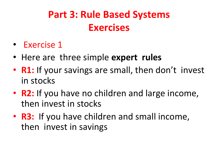## **Part 3: Rule Based Systems Exercises**

- Exercise 1
- Here are three simple **expert rules**
- **R1:** If your savings are small, then don't invest in stocks
- **R2:** If you have no children and large income, then invest in stocks
- **R3:** If you have children and small income, then invest in savings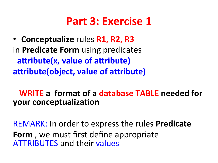• **Conceptualize** rules **R1, R2, R3 in Predicate Form** using predicates **attribute(x, value of attribute)** attribute(object, value of attribute)

**WRITE** a format of a database TABLE needed for **your conceptualization** 

REMARK: In order to express the rules Predicate **Form**, we must first define appropriate **ATTRIBUTES** and their values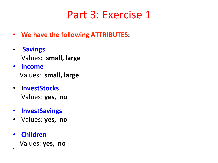- **We have the following ATTRIBUTES:**
- **Savings** Values: small, large
- **Income**

Values: small, large

- **InvestStocks** Values: yes, no
- **InvestSavings**
- Values: yes, no
- **Children** Values: yes, no

•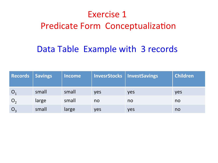### Exercise 1 Predicate Form Conceptualization

### Data Table Example with 3 records

| Records        | <b>Savings</b> | <b>Income</b> |     | InvesrStocks   InvestSavings | <b>Children</b> |
|----------------|----------------|---------------|-----|------------------------------|-----------------|
| $\overline{O}$ | small          | small         | yes | yes                          | yes             |
|                | large          | small         | no  | no                           | no              |
|                | small          | large         | yes | yes                          | no              |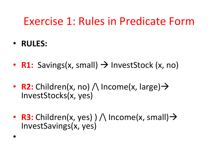## Exercise 1: Rules in Predicate Form

• **RULES:** 

• 

- **R1:** Savings(x, small)  $\rightarrow$  InvestStock (x, no)
- **R2:** Children(x, no)  $\wedge$  Income(x, large)  $\rightarrow$ InvestStocks(x, yes)
- **R3:** Children(x, yes)  $) \wedge$  Income(x, small)  $\rightarrow$ InvestSavings(x, yes)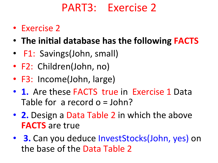## PART3: Exercise 2

- Exercise 2
- The initial database has the following **FACTS**
- F1: Savings(John, small)
- F2: Children(John, no)
- F3: Income(John, large)
- 1. Are these FACTS true in Exercise 1 Data Table for a record  $o = John?$
- **2.** Design a Data Table 2 in which the above **FACTS** are true
- **3.** Can you deduce InvestStocks(John, yes) on the base of the Data Table 2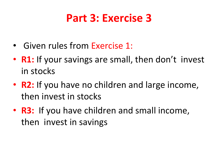- Given rules from Exercise 1:
- **R1:** If your savings are small, then don't invest in stocks
- **R2:** If you have no children and large income, then invest in stocks
- **R3:** If you have children and small income, then invest in savings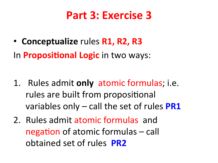• **Conceptualize** rules **R1, R2, R3** In **Propositional Logic** in two ways:

- 1. Rules admit **only** atomic formulas; i.e. rules are built from propositional variables only – call the set of rules **PR1**
- 2. Rules admit atomic formulas and negation of atomic formulas  $-$  call obtained set of rules **PR2**